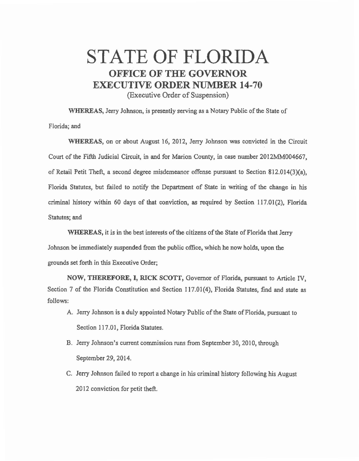## STATE OF FLORIDA OFFICE OF THE GOVERNOR EXECUTIVE ORDER NUMBER 14-70

(Executive Order of Suspension)

WHEREAS, Jerry Johnson, is presently serving *as* a Notary Public of the State of Florida; and

WHEREAS, on or about August 16, 2012, Jerry Johnson was convicted in the Circuit Court of the Fifth Judicial Circuit, in and for Marion County, in case number 2012MM004667, of Retail Petit Theft, a second degree misdemeanor offense pursuant to Section 812.014(3)(a), Florida Statutes, but failed to notify the Department of State in writing of the change in his criminal history within 60 days of that conviction, *as* required by Section 117.01(2), Florida Statutes; and

WHEREAS, it is in the best interests of the citizens of the State of Florida that Jerry Johnson be immediately suspended from the public office, which he now holds, upon the grounds set forth in this Executive Order;

NOW, THEREFORE, I, RICK SCOTT, Governor of Florida, pursuant to Article IV, Section 7 of the Florida Constitution and Section 117.01(4), Florida Statutes, find and state *as*  follows:

- A. Jerry Johnson is a duly appointed Notary Public of the State of Florida, pursuant to Section 117.01, Florida Statutes.
- B. Jerry Johnson's current commission runs from September 30, 2010, through September 29, 2014.
- C. Jerry Johnson failed to report a change in his criminal history following his August 2012 conviction for petit theft.